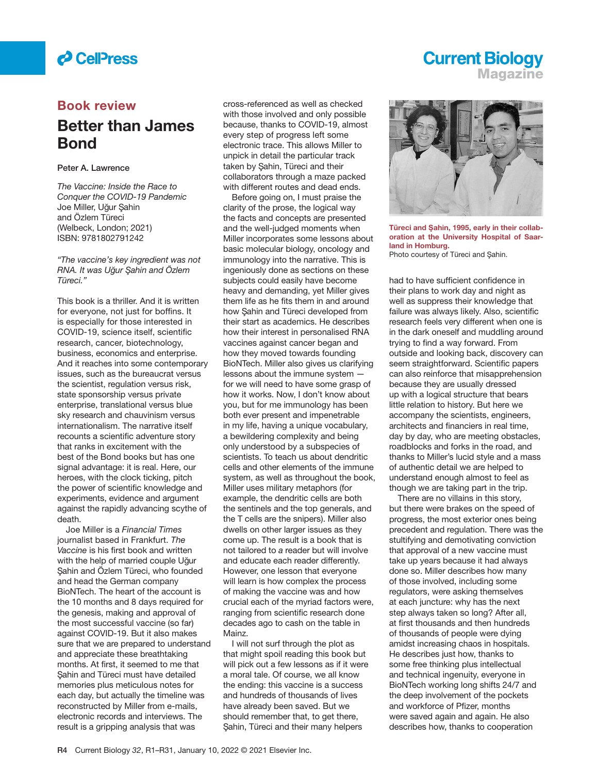

### **Book review**

## **Better than James Bond**

### **Peter A. Lawrence**

*The Vaccine: Inside the Race to Conquer the COVID-19 Pandemic* Joe Miller, Uğur Şahin and Özlem Türeci (Welbeck, London; 2021) ISBN: 9781802791242

*"The vaccine's key ingredient was not RNA. It was Ug˘ ur S¸ ahin and Özlem Türeci."*

This book is a thriller. And it is written for everyone, not just for boffins. It is especially for those interested in COVID-19, science itself, scientific research, cancer, biotechnology, business, economics and enterprise. And it reaches into some contemporary issues, such as the bureaucrat versus the scientist, regulation versus risk, state sponsorship versus private enterprise, translational versus blue sky research and chauvinism versus internationalism. The narrative itself recounts a scientific adventure story that ranks in excitement with the best of the Bond books but has one signal advantage: it is real. Here, our heroes, with the clock ticking, pitch the power of scientific knowledge and experiments, evidence and argument against the rapidly advancing scythe of death.

Joe Miller is a *Financial Times* journalist based in Frankfurt. *The*  Vaccine is his first book and written with the help of married couple Uğur Sahin and Özlem Türeci, who founded and head the German company BioNTech. The heart of the account is the 10 months and 8 days required for the genesis, making and approval of the most successful vaccine (so far) against COVID-19. But it also makes sure that we are prepared to understand and appreciate these breathtaking months. At first, it seemed to me that Sahin and Türeci must have detailed memories plus meticulous notes for each day, but actually the timeline was reconstructed by Miller from e-mails, electronic records and interviews. The result is a gripping analysis that was

cross-referenced as well as checked with those involved and only possible because, thanks to COVID-19, almost every step of progress left some electronic trace. This allows Miller to unpick in detail the particular track taken by Sahin, Türeci and their collaborators through a maze packed with different routes and dead ends.

Before going on, I must praise the clarity of the prose, the logical way the facts and concepts are presented and the well-judged moments when Miller incorporates some lessons about basic molecular biology, oncology and immunology into the narrative. This is ingeniously done as sections on these subjects could easily have become heavy and demanding, yet Miller gives them life as he fits them in and around how Sahin and Türeci developed from their start as academics. He describes how their interest in personalised RNA vaccines against cancer began and how they moved towards founding BioNTech. Miller also gives us clarifying lessons about the immune system for we will need to have some grasp of how it works. Now, I don't know about you, but for me immunology has been both ever present and impenetrable in my life, having a unique vocabulary, a bewildering complexity and being only understood by a subspecies of scientists. To teach us about dendritic cells and other elements of the immune system, as well as throughout the book, Miller uses military metaphors (for example, the dendritic cells are both the sentinels and the top generals, and the T cells are the snipers). Miller also dwells on other larger issues as they come up. The result is a book that is not tailored to *a* reader but will involve and educate each reader differently. However, one lesson that everyone will learn is how complex the process of making the vaccine was and how crucial each of the myriad factors were, ranging from scientific research done decades ago to cash on the table in Mainz.

I will not surf through the plot as that might spoil reading this book but will pick out a few lessons as if it were a moral tale. Of course, we all know the ending: this vaccine is a success and hundreds of thousands of lives have already been saved. But we should remember that, to get there, Sahin, Türeci and their many helpers



**Magazine**

**Current Biology** 

Türeci and Şahin, 1995, early in their collab**oration at the University Hospital of Saarland in Homburg.** Photo courtesy of Türeci and Şahin.

had to have sufficient confidence in their plans to work day and night as well as suppress their knowledge that failure was always likely. Also, scientific research feels very different when one is in the dark oneself and muddling around trying to find a way forward. From outside and looking back, discovery can seem straightforward. Scientific papers can also reinforce that misapprehension because they are usually dressed up with a logical structure that bears little relation to history. But here we accompany the scientists, engineers, architects and financiers in real time, day by day, who are meeting obstacles, roadblocks and forks in the road, and thanks to Miller's lucid style and a mass of authentic detail we are helped to understand enough almost to feel as though we are taking part in the trip.

There are no villains in this story, but there were brakes on the speed of progress, the most exterior ones being precedent and regulation. There was the stultifying and demotivating conviction that approval of a new vaccine must take up years because it had always done so. Miller describes how many of those involved, including some regulators, were asking themselves at each juncture: why has the next step always taken so long? After all, at first thousands and then hundreds of thousands of people were dying amidst increasing chaos in hospitals. He describes just how, thanks to some free thinking plus intellectual and technical ingenuity, everyone in BioNTech working long shifts 24/7 and the deep involvement of the pockets and workforce of Pfizer, months were saved again and again. He also describes how, thanks to cooperation